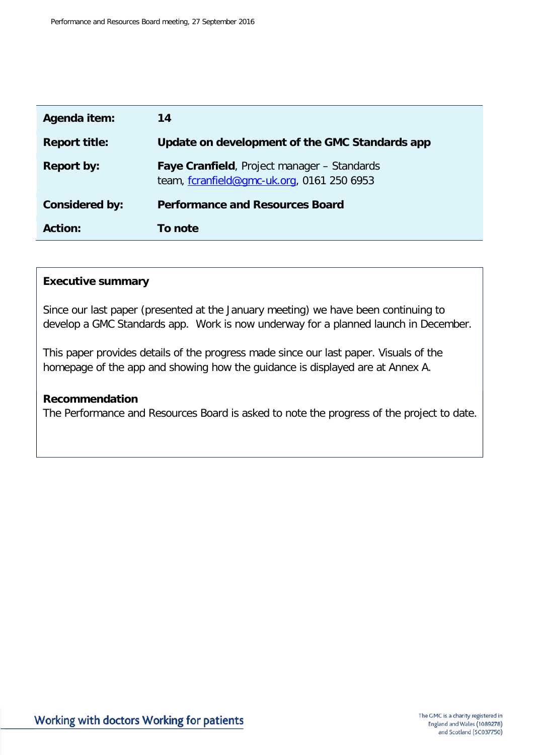| Agenda item:          | 14                                                                                        |
|-----------------------|-------------------------------------------------------------------------------------------|
| <b>Report title:</b>  | Update on development of the GMC Standards app                                            |
| <b>Report by:</b>     | Faye Cranfield, Project manager - Standards<br>team, fcranfield@gmc-uk.org, 0161 250 6953 |
| <b>Considered by:</b> | <b>Performance and Resources Board</b>                                                    |
| <b>Action:</b>        | To note                                                                                   |

#### **Executive summary**

Since our last paper (presented at the January meeting) we have been continuing to develop a GMC Standards app. Work is now underway for a planned launch in December.

This paper provides details of the progress made since our last paper. Visuals of the homepage of the app and showing how the guidance is displayed are at Annex A.

#### **Recommendation**

The Performance and Resources Board is asked to note the progress of the project to date.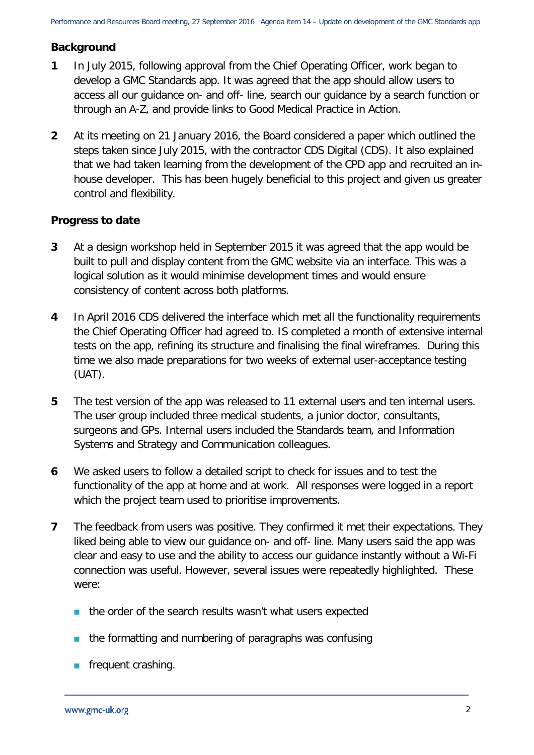# **Background**

- **1** In July 2015, following approval from the Chief Operating Officer, work began to develop a GMC Standards app. It was agreed that the app should allow users to access all our guidance on- and off- line, search our guidance by a search function or through an A-Z, and provide links to Good Medical Practice in Action.
- **2** At its meeting on 21 January 2016, the Board considered a paper which outlined the steps taken since July 2015, with the contractor CDS Digital (CDS). It also explained that we had taken learning from the development of the CPD app and recruited an inhouse developer. This has been hugely beneficial to this project and given us greater control and flexibility.

#### **Progress to date**

- **3** At a design workshop held in September 2015 it was agreed that the app would be built to pull and display content from the GMC website via an interface. This was a logical solution as it would minimise development times and would ensure consistency of content across both platforms.
- **4** In April 2016 CDS delivered the interface which met all the functionality requirements the Chief Operating Officer had agreed to. IS completed a month of extensive internal tests on the app, refining its structure and finalising the final wireframes. During this time we also made preparations for two weeks of external user-acceptance testing (UAT).
- **5** The test version of the app was released to 11 external users and ten internal users. The user group included three medical students, a junior doctor, consultants, surgeons and GPs. Internal users included the Standards team, and Information Systems and Strategy and Communication colleagues.
- **6** We asked users to follow a detailed script to check for issues and to test the functionality of the app at home and at work. All responses were logged in a report which the project team used to prioritise improvements.
- **7** The feedback from users was positive. They confirmed it met their expectations. They liked being able to view our guidance on- and off- line. Many users said the app was clear and easy to use and the ability to access our guidance instantly without a Wi-Fi connection was useful. However, several issues were repeatedly highlighted. These were:
	- $\blacksquare$  the order of the search results wasn't what users expected
	- $\blacksquare$  the formatting and numbering of paragraphs was confusing
	- **frequent crashing.**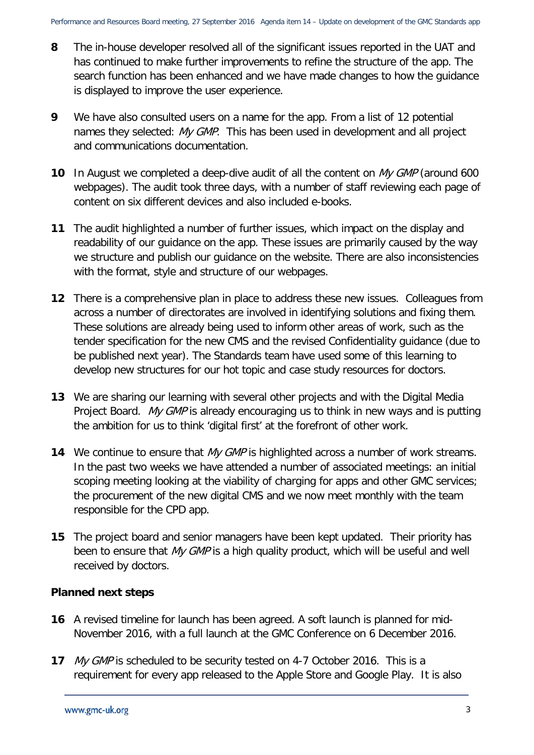- **8** The in-house developer resolved all of the significant issues reported in the UAT and has continued to make further improvements to refine the structure of the app. The search function has been enhanced and we have made changes to how the guidance is displayed to improve the user experience.
- **9** We have also consulted users on a name for the app. From a list of 12 potential names they selected: My GMP. This has been used in development and all project and communications documentation.
- **10** In August we completed a deep-dive audit of all the content on My GMP (around 600 webpages). The audit took three days, with a number of staff reviewing each page of content on six different devices and also included e-books.
- **11** The audit highlighted a number of further issues, which impact on the display and readability of our guidance on the app. These issues are primarily caused by the way we structure and publish our guidance on the website. There are also inconsistencies with the format, style and structure of our webpages.
- **12** There is a comprehensive plan in place to address these new issues. Colleagues from across a number of directorates are involved in identifying solutions and fixing them. These solutions are already being used to inform other areas of work, such as the tender specification for the new CMS and the revised Confidentiality guidance (due to be published next year). The Standards team have used some of this learning to develop new structures for our hot topic and case study resources for doctors.
- **13** We are sharing our learning with several other projects and with the Digital Media Project Board. My GMP is already encouraging us to think in new ways and is putting the ambition for us to think 'digital first' at the forefront of other work.
- **14** We continue to ensure that My GMP is highlighted across a number of work streams. In the past two weeks we have attended a number of associated meetings: an initial scoping meeting looking at the viability of charging for apps and other GMC services; the procurement of the new digital CMS and we now meet monthly with the team responsible for the CPD app.
- **15** The project board and senior managers have been kept updated. Their priority has been to ensure that My GMP is a high quality product, which will be useful and well received by doctors.

#### **Planned next steps**

- **16** A revised timeline for launch has been agreed. A soft launch is planned for mid-November 2016, with a full launch at the GMC Conference on 6 December 2016.
- **17** My GMP is scheduled to be security tested on 4-7 October 2016. This is a requirement for every app released to the Apple Store and Google Play. It is also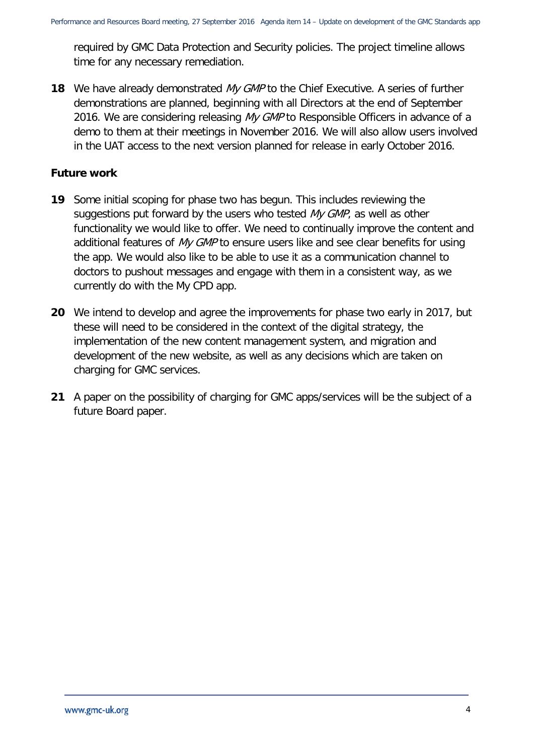required by GMC Data Protection and Security policies. The project timeline allows time for any necessary remediation.

**18** We have already demonstrated My GMP to the Chief Executive. A series of further demonstrations are planned, beginning with all Directors at the end of September 2016. We are considering releasing My GMP to Responsible Officers in advance of a demo to them at their meetings in November 2016. We will also allow users involved in the UAT access to the next version planned for release in early October 2016.

#### **Future work**

- **19** Some initial scoping for phase two has begun. This includes reviewing the suggestions put forward by the users who tested My GMP, as well as other functionality we would like to offer. We need to continually improve the content and additional features of My GMP to ensure users like and see clear benefits for using the app. We would also like to be able to use it as a communication channel to doctors to pushout messages and engage with them in a consistent way, as we currently do with the My CPD app.
- **20** We intend to develop and agree the improvements for phase two early in 2017, but these will need to be considered in the context of the digital strategy, the implementation of the new content management system, and migration and development of the new website, as well as any decisions which are taken on charging for GMC services.
- **21** A paper on the possibility of charging for GMC apps/services will be the subject of a future Board paper.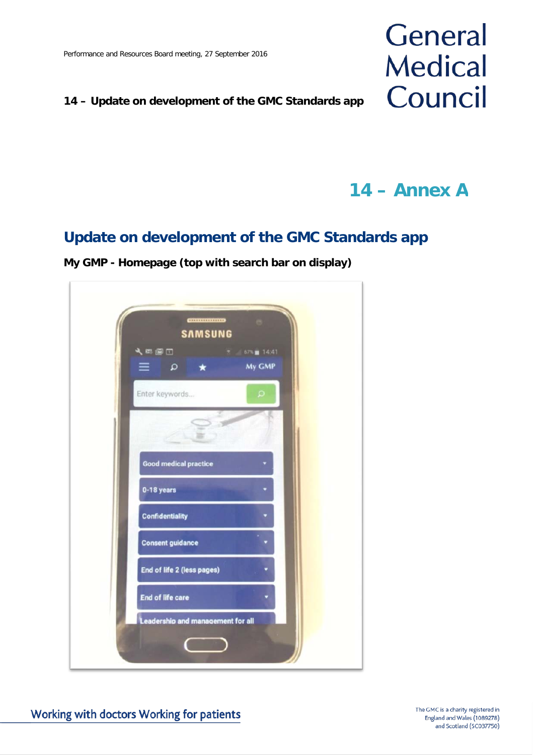### **14 – Update on development of the GMC Standards app**

# General **Medical** Council

**14 – Annex A**

# **Update on development of the GMC Standards app**

**My GMP - Homepage (top with search bar on display)**

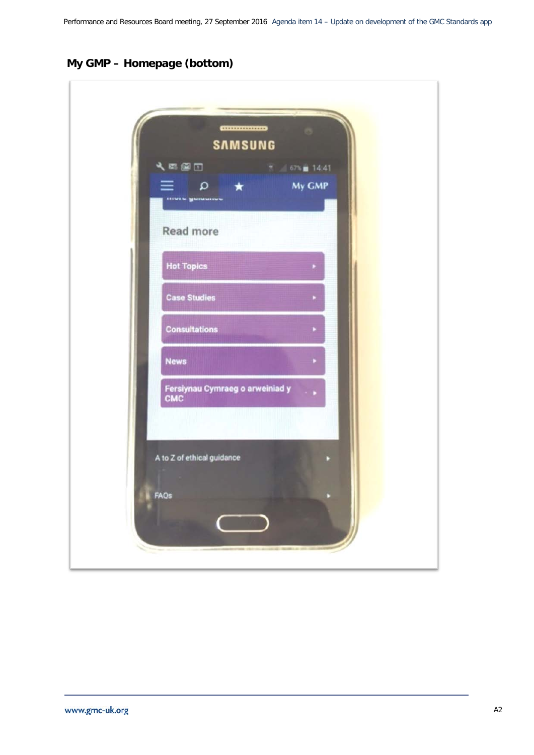# **My GMP – Homepage (bottom)**

| 人民国口<br>a                              | $\star$ | 67% 14:41<br>My GMP |  |
|----------------------------------------|---------|---------------------|--|
|                                        |         |                     |  |
| Read more                              |         |                     |  |
| <b>Hot Topics</b>                      |         |                     |  |
| <b>Case Studies</b>                    |         |                     |  |
| <b>Consultations</b>                   |         |                     |  |
| <b>News</b>                            |         |                     |  |
| Fersiynau Cymraeg o arweiniad y<br>CMC |         |                     |  |
|                                        |         |                     |  |
| A to Z of ethical guidance             |         |                     |  |
| FAQs                                   |         |                     |  |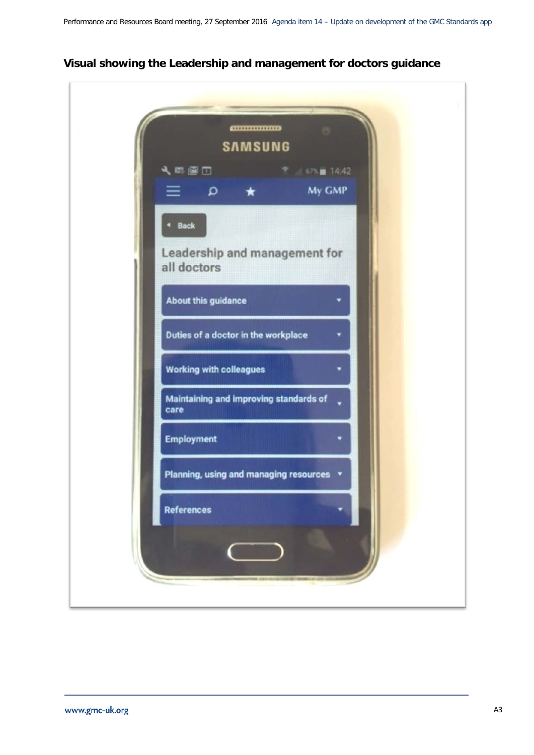

#### **Visual showing the Leadership and management for doctors guidance**